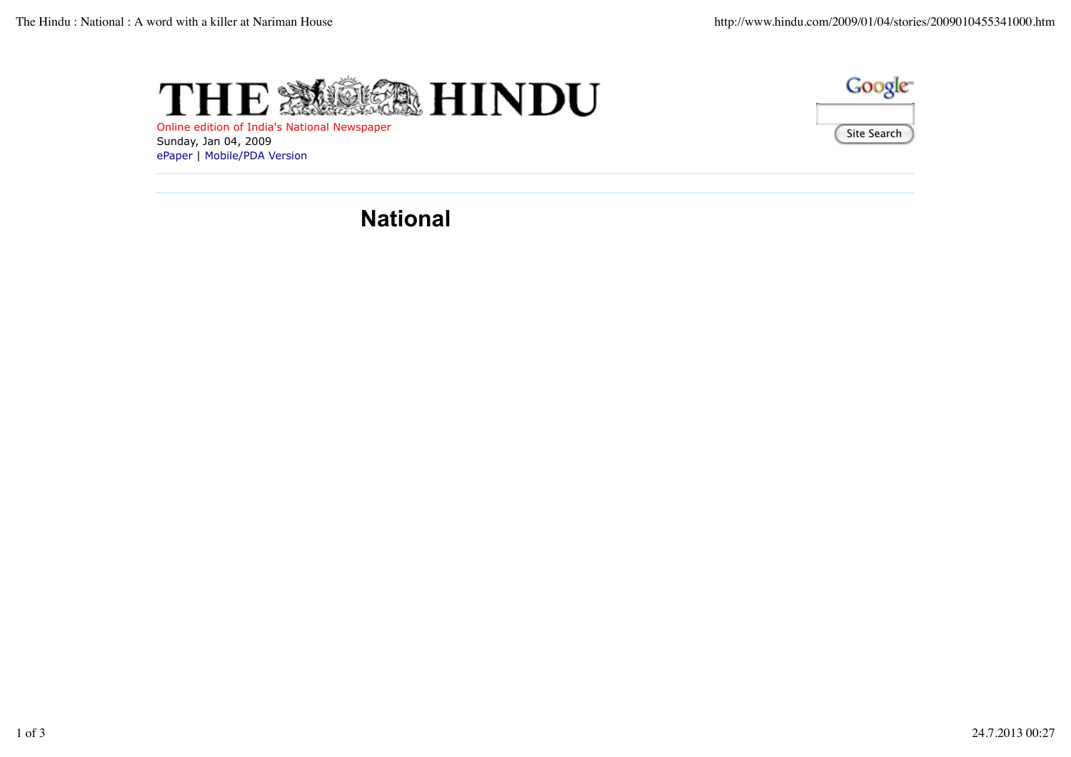





**National**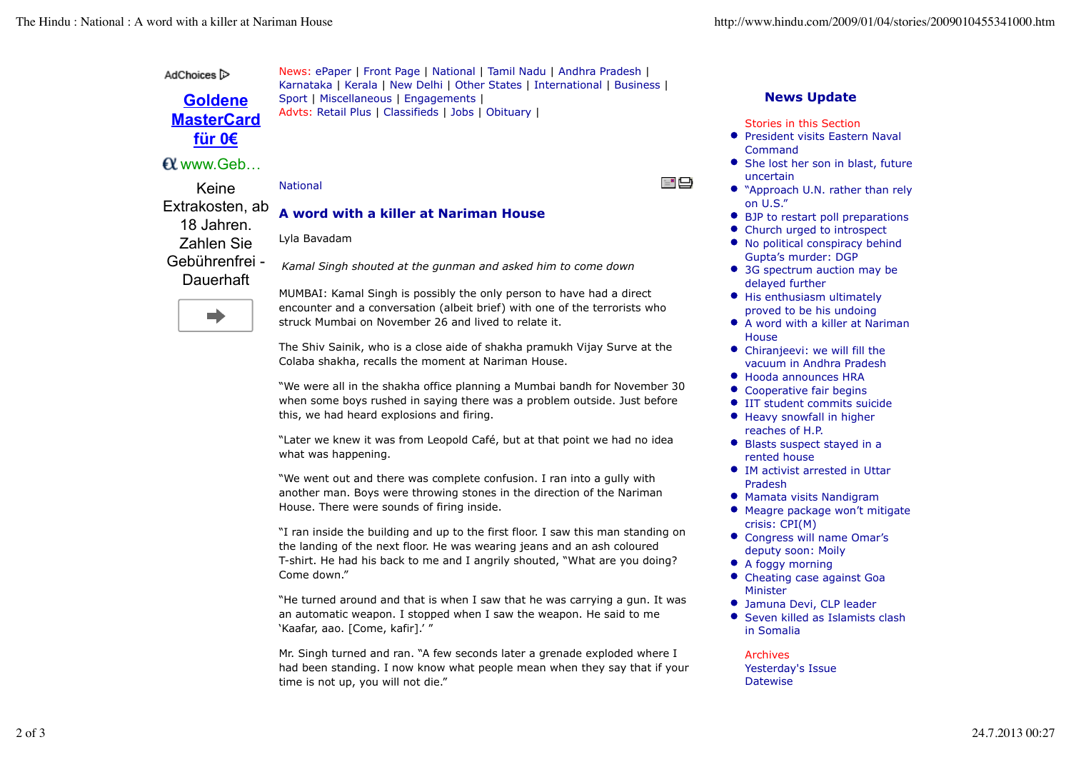AdChoices<sup>1</sup>

**Goldene MasterCard für 0€**

## www.Geb …

Keine

Extrakosten, ab 18 Jahren. Zahlen Sie Gebührenfrei - **Dauerhaft** 

News: ePaper | Front Page | National | Tamil Nadu | Andhra Pradesh | Karnataka | Kerala | New Delhi | Other States | International | Business | Sport | Miscellaneous | Engagements | Advts: Retail Plus | Classifieds | Jobs | Obituary |

National

# **A word with a killer at Nariman House**

Lyla Bavadam

*Kamal Singh shouted at the gunman and asked him to come down*

n)

MUMBAI: Kamal Singh is possibly the only person to have had a direct encounter and a conversation (albeit brief) with one of the terrorists who struck Mumbai on November 26 and lived to relate it.

The Shiv Sainik, who is a close aide of shakha pramukh Vijay Surve at the Colaba shakha, recalls the moment at Nariman House.

"We were all in the shakha office planning a Mumbai bandh for November 30 when some boys rushed in saying there was a problem outside. Just before this, we had heard explosions and firing.

"Later we knew it was from Leopold Café, but at that point we had no idea what was happening.

"We went out and there was complete confusion. I ran into a gully with another man. Boys were throwing stones in the direction of the Nariman House. There were sounds of firing inside.

"I ran inside the building and up to the first floor. I saw this man standing on the landing of the next floor. He was wearing jeans and an ash coloured T-shirt. He had his back to me and I angrily shouted, "What are you doing? Come down."

"He turned around and that is when I saw that he was carrying a gun. It was an automatic weapon. I stopped when I saw the weapon. He said to me 'Kaafar, aao. [Come, kafir].' "

Mr. Singh turned and ran. "A few seconds later a grenade exploded where I had been standing. I now know what people mean when they say that if your time is not up, you will not die."

## **News Update**

Stories in this Section

 $=$   $\Box$ 

- **•** President visits Eastern Naval Command
- She lost her son in blast, future uncertain
- "Approach U.N. rather than rely on U.S."
- BJP to restart poll preparations
- Church urged to introspect
- No political conspiracy behind Gupta's murder: DGP
- 3G spectrum auction may be delayed further
- His enthusiasm ultimately proved to be his undoing
- A word with a killer at Nariman **House**
- Chiranjeevi: we will fill the vacuum in Andhra Pradesh
- Hooda announces HRA
- Cooperative fair begins
- **IIT student commits suicide**
- **•** Heavy snowfall in higher reaches of H.P.
- Blasts suspect stayed in a rented house
- IM activist arrested in Uttar Pradesh
- Mamata visits Nandigram
- Meagre package won't mitigate crisis: CPI(M)
- Congress will name Omar's deputy soon: Moily
- A foggy morning
- Cheating case against Goa Minister
- Jamuna Devi, CLP leader
- Seven killed as Islamists clash in Somalia

### Archives

Yesterday's Issue **Datewise**